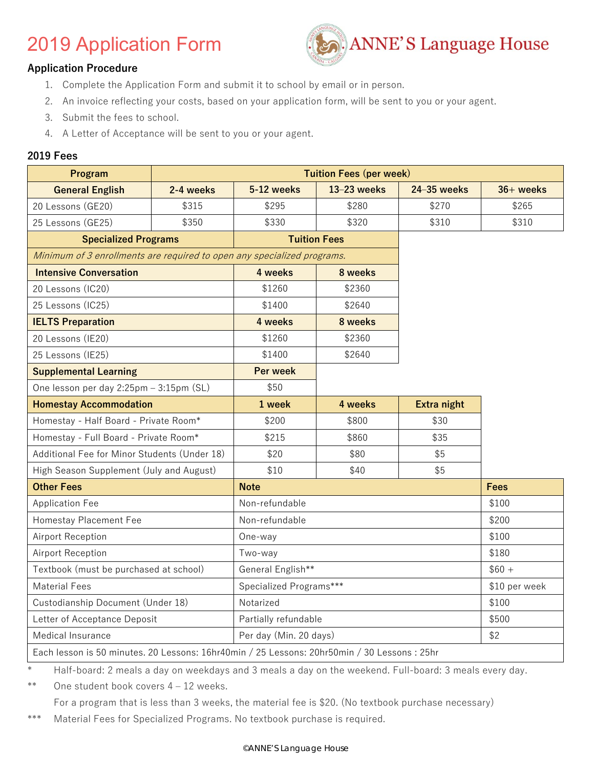# 2019 Application Form



#### **Application Procedure**

- 1. Complete the Application Form and submit it to school by email or in person.
- 2. An invoice reflecting your costs, based on your application form, will be sent to you or your agent.
- 3. Submit the fees to school.
- 4. A Letter of Acceptance will be sent to you or your agent.

#### **2019 Fees**

| Program                                                                 |           |                               | <b>Tuition Fees (per week)</b> |             |             |  |  |
|-------------------------------------------------------------------------|-----------|-------------------------------|--------------------------------|-------------|-------------|--|--|
| <b>General English</b>                                                  | 2-4 weeks | 5-12 weeks                    | 13-23 weeks                    | 24-35 weeks | $36+$ weeks |  |  |
| 20 Lessons (GE20)                                                       | \$315     | \$295                         | \$280                          | \$270       | \$265       |  |  |
| 25 Lessons (GE25)                                                       | \$350     | \$330                         | \$320                          | \$310       | \$310       |  |  |
| <b>Specialized Programs</b>                                             |           |                               | <b>Tuition Fees</b>            |             |             |  |  |
| Minimum of 3 enrollments are required to open any specialized programs. |           |                               |                                |             |             |  |  |
| <b>Intensive Conversation</b>                                           |           | 4 weeks                       | 8 weeks                        |             |             |  |  |
| 20 Lessons (IC20)                                                       |           | \$1260                        | \$2360                         |             |             |  |  |
| 25 Lessons (IC25)                                                       |           | \$1400                        | \$2640                         |             |             |  |  |
| <b>IELTS Preparation</b>                                                |           | 4 weeks                       | 8 weeks                        |             |             |  |  |
| 20 Lessons (IE20)                                                       |           | \$1260                        | \$2360                         |             |             |  |  |
| 25 Lessons (IE25)                                                       |           | \$1400                        | \$2640                         |             |             |  |  |
| <b>Supplemental Learning</b>                                            |           | Per week                      |                                |             |             |  |  |
| One lesson per day 2:25pm - 3:15pm (SL)                                 |           | \$50                          |                                |             |             |  |  |
| <b>Homestay Accommodation</b>                                           |           | 1 week                        | 4 weeks                        | Extra night |             |  |  |
| Homestay - Half Board - Private Room*                                   |           | \$200                         | \$800                          | \$30        |             |  |  |
| Homestay - Full Board - Private Room*                                   |           | \$215                         | \$860                          | \$35        |             |  |  |
| Additional Fee for Minor Students (Under 18)                            |           | \$20                          | \$80                           | \$5         |             |  |  |
| High Season Supplement (July and August)                                |           | \$10                          | \$40                           | \$5         |             |  |  |
| <b>Other Fees</b>                                                       |           | <b>Note</b>                   |                                |             | Fees        |  |  |
| <b>Application Fee</b>                                                  |           | Non-refundable                |                                |             | \$100       |  |  |
| Homestay Placement Fee                                                  |           | Non-refundable                |                                |             | \$200       |  |  |
| Airport Reception                                                       |           | One-way                       |                                |             | \$100       |  |  |
| Airport Reception                                                       |           | Two-way                       |                                |             | \$180       |  |  |
| Textbook (must be purchased at school)                                  |           | General English**             |                                | $$60 +$     |             |  |  |
| <b>Material Fees</b>                                                    |           | Specialized Programs***       | \$10 per week                  |             |             |  |  |
| Custodianship Document (Under 18)                                       |           | Notarized                     | \$100                          |             |             |  |  |
| Letter of Acceptance Deposit                                            |           | Partially refundable          | \$500                          |             |             |  |  |
| Medical Insurance                                                       |           | \$2<br>Per day (Min. 20 days) |                                |             |             |  |  |

Each lesson is 50 minutes. 20 Lessons: 16hr40min / 25 Lessons: 20hr50min / 30 Lessons : 25hr

Half-board: 2 meals a day on weekdays and 3 meals a day on the weekend. Full-board: 3 meals every day.

\*\* One student book covers 4 – 12 weeks.

For a program that is less than 3 weeks, the material fee is \$20. (No textbook purchase necessary)

\*\*\* Material Fees for Specialized Programs. No textbook purchase is required.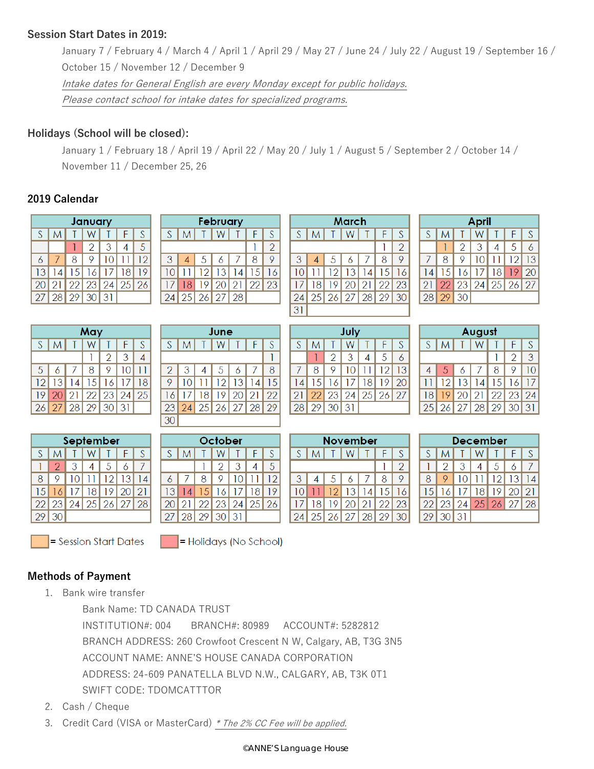### **Session Start Dates in 2019:**

January 7 / February 4 / March 4 / April 1 / April 29 / May 27 / June 24 / July 22 / August 19 / September 16 / October 15 / November 12 / December 9 Intake dates for General English are every Monday except for public holidays. Please contact school for intake dates for specialized programs.

## **Holidays (School will be closed):**

January 1 / February 18 / April 19 / April 22 / May 20 / July 1 / August 5 / September 2 / October 14 / November 11 / December 25, 26

 $\overline{16}$ 

## **2019 Calendar**

| January |   |                      |    |    |   |     |  |  |  |
|---------|---|----------------------|----|----|---|-----|--|--|--|
| S       | M |                      |    |    | F | S   |  |  |  |
|         |   |                      | 2  | -3 | 4 | 5   |  |  |  |
| 6       |   | 8                    | 9. | 10 |   | -12 |  |  |  |
| 3       |   | 14 15 16 17 18       |    |    |   | -19 |  |  |  |
|         |   | 20 21 22 23 24 25 26 |    |    |   |     |  |  |  |
|         |   | 27 28 29 30 31       |    |    |   |     |  |  |  |

| $\overline{2}$ | 3    |   | 5                 | 6              |  | 8  |            |  |
|----------------|------|---|-------------------|----------------|--|----|------------|--|
| 9              | 10   |   |                   | $12$   13   14 |  | 15 | $\epsilon$ |  |
| 6              |      |   | 18 19 20 21 22 23 |                |  |    |            |  |
|                |      |   | 24 25 26 27 28    |                |  |    |            |  |
|                |      |   |                   |                |  |    |            |  |
|                | June |   |                   |                |  |    |            |  |
|                | S    | M |                   |                |  |    |            |  |
|                |      |   |                   |                |  |    |            |  |

 $S$  M T W

| March |    |    |                   |  |    |    |  |  |
|-------|----|----|-------------------|--|----|----|--|--|
| S     | M  |    |                   |  |    | S  |  |  |
|       |    |    | 2                 |  |    |    |  |  |
| 3     |    | .5 | 6                 |  | 8  | 9  |  |  |
|       |    |    | $12$   13   14    |  | 15 | 16 |  |  |
|       | 18 |    | 19 20 21 22 23    |  |    |    |  |  |
| 24    |    |    | 25 26 27 28 29 30 |  |    |    |  |  |
|       |    |    |                   |  |    |    |  |  |

| April |    |    |          |    |                |    |  |  |  |  |
|-------|----|----|----------|----|----------------|----|--|--|--|--|
| S     | Μ  |    |          |    |                | S  |  |  |  |  |
|       |    | 2  | 3        | 4  | 5              |    |  |  |  |  |
|       | 8  | 9  | $\Omega$ |    | 12             | 13 |  |  |  |  |
| 14    | 15 | 16 | 17       | 18 | 19             | 20 |  |  |  |  |
| 21    | 22 |    |          |    | 23 24 25 26 27 |    |  |  |  |  |
| 28    | 29 | 30 |          |    |                |    |  |  |  |  |

| May |   |  |                   |   |    |    |  |  |  |
|-----|---|--|-------------------|---|----|----|--|--|--|
| S   | M |  | W                 |   | F. | S  |  |  |  |
|     |   |  |                   | 2 | 3  | 4  |  |  |  |
| 5   | 6 |  | 8                 | 9 | 10 |    |  |  |  |
|     |   |  | 12 13 14 15 16 17 |   |    | 18 |  |  |  |
| 19  |   |  | 20 21 22 23 24 25 |   |    |    |  |  |  |
| 26  |   |  | 27 28 29 30 31    |   |    |    |  |  |  |

|     | September |   |                                                               |  |   |   |  |  |  |  |
|-----|-----------|---|---------------------------------------------------------------|--|---|---|--|--|--|--|
| S   | M         |   | W <sub>l</sub>                                                |  | F | S |  |  |  |  |
|     | 2.        | 3 | $\begin{array}{c c c c c} \hline 4 & 5 \\ \hline \end{array}$ |  | 6 |   |  |  |  |  |
| 8   | 9.        |   | 10 11 12 13 14                                                |  |   |   |  |  |  |  |
| 151 |           |   | 16 17 18 19 20 21                                             |  |   |   |  |  |  |  |
|     |           |   | 22 23 24 25 26 27 28                                          |  |   |   |  |  |  |  |
| 291 | 30        |   |                                                               |  |   |   |  |  |  |  |

|    | S M T W T F   |  | S                    |
|----|---------------|--|----------------------|
|    |               |  |                      |
|    | 2 3 4 5 6 7 8 |  |                      |
|    |               |  | 9 10 11 12 13 14 15  |
|    |               |  | 16 17 18 19 20 21 22 |
|    |               |  | 23 24 25 26 27 28 29 |
| 30 |               |  |                      |

February

 $\mathsf{T}$  $\overline{F}$ S  $\overline{2}$ 

| October |    |    |                |    |       |    |  |  |  |  |
|---------|----|----|----------------|----|-------|----|--|--|--|--|
| S       | M  |    | W              |    | €     | S  |  |  |  |  |
|         |    |    | 2              | 3  | 4     | 5  |  |  |  |  |
| 6       |    | 8  |                | 10 |       | 12 |  |  |  |  |
| 13      | 4  | 15 | 16             | 17 | 18    | 19 |  |  |  |  |
| 20      | 21 |    | $22$   23   24 |    | 25 26 |    |  |  |  |  |
| 27.     | 28 |    | 29 30          | 31 |       |    |  |  |  |  |

|    | July |                |                   |      |   |    |  |  |  |  |  |
|----|------|----------------|-------------------|------|---|----|--|--|--|--|--|
| S  | M    |                | W                 |      | F | S  |  |  |  |  |  |
|    |      | $\overline{2}$ | -3                | 4    | 5 |    |  |  |  |  |  |
|    | 8    | 9.             | 10                | -111 | 2 | 13 |  |  |  |  |  |
| 14 |      |                | 15 16 17 18 19 20 |      |   |    |  |  |  |  |  |
| 21 |      |                | 22 23 24 25 26 27 |      |   |    |  |  |  |  |  |
|    |      | 28 29 30 31    |                   |      |   |    |  |  |  |  |  |

| Avuva          |  |                       |  |            |     |    |  |  |  |  |
|----------------|--|-----------------------|--|------------|-----|----|--|--|--|--|
|                |  | S   M   T   W   T   F |  |            |     | ΙS |  |  |  |  |
|                |  |                       |  | $1\vert 2$ | l 3 |    |  |  |  |  |
| $\overline{4}$ |  | 56789                 |  |            |     | 10 |  |  |  |  |
|                |  | 11 12 13 14 15 16 17  |  |            |     |    |  |  |  |  |
|                |  | 18 19 20 21 22 23 24  |  |            |     |    |  |  |  |  |
|                |  | 25 26 27 28 29 30 31  |  |            |     |    |  |  |  |  |
|                |  |                       |  |            |     |    |  |  |  |  |

 $A$  is an early

| November     |   |  |                                  |            |   |   |  |  |
|--------------|---|--|----------------------------------|------------|---|---|--|--|
| $S^{\prime}$ | M |  | TWT                              |            |   | S |  |  |
|              |   |  |                                  |            |   |   |  |  |
|              |   |  | $5 \mid 6$                       | $\sqrt{7}$ | 8 |   |  |  |
|              |   |  | 11 12 13 14 15 16                |            |   |   |  |  |
|              |   |  | 17   18   19   20   21   22   23 |            |   |   |  |  |
|              |   |  | 24 25 26 27 28 29 30             |            |   |   |  |  |

| December |                |                      |                 |     |                |   |  |  |  |  |  |
|----------|----------------|----------------------|-----------------|-----|----------------|---|--|--|--|--|--|
| S        | Μ              |                      | W.              |     | F              | S |  |  |  |  |  |
|          | $\mathcal{P}$  | -3                   | $\vert A \vert$ | - 5 | 6              |   |  |  |  |  |  |
| 8        | 9 <sub>1</sub> |                      |                 |     | 10 11 12 13 14 |   |  |  |  |  |  |
|          |                | 15 16 17 18 19 20 21 |                 |     |                |   |  |  |  |  |  |
|          |                | 22 23 24 25 26 27 28 |                 |     |                |   |  |  |  |  |  |
|          | 29 30 31       |                      |                 |     |                |   |  |  |  |  |  |

 $=$  Session Start Dates

 $\vert$  = Holidays (No School)

## **Methods of Payment**

1. Bank wire transfer

Bank Name: TD CANADA TRUST

INSTITUTION#: 004 BRANCH#: 80989 ACCOUNT#: 5282812 BRANCH ADDRESS: 260 Crowfoot Crescent N W, Calgary, AB, T3G 3N5 ACCOUNT NAME: ANNE'S HOUSE CANADA CORPORATION ADDRESS: 24-609 PANATELLA BLVD N.W., CALGARY, AB, T3K 0T1 SWIFT CODE: TDOMCATTTOR

- 2. Cash / Cheque
- 3. Credit Card (VISA or MasterCard) \* The 2% CC Fee will be applied.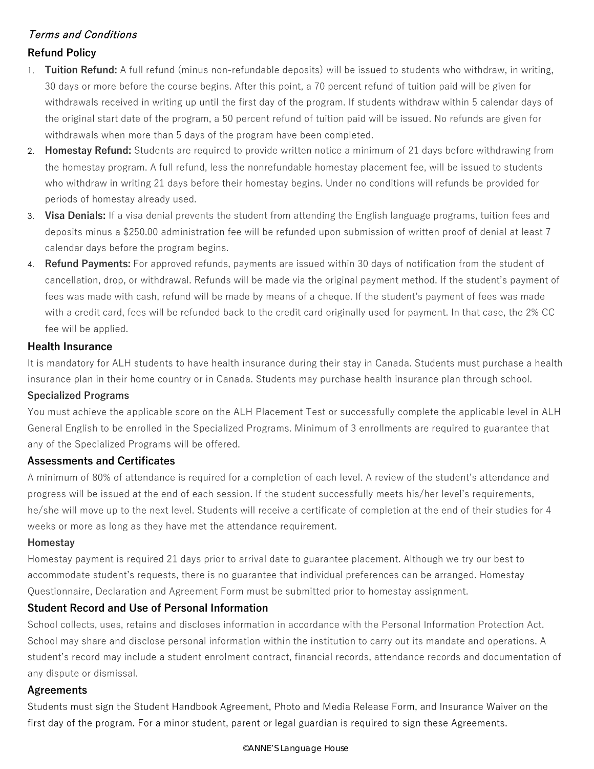# Terms and Conditions

## **Refund Policy**

- 1. **Tuition Refund:** A full refund (minus non-refundable deposits) will be issued to students who withdraw, in writing, 30 days or more before the course begins. After this point, a 70 percent refund of tuition paid will be given for withdrawals received in writing up until the first day of the program. If students withdraw within 5 calendar days of the original start date of the program, a 50 percent refund of tuition paid will be issued. No refunds are given for withdrawals when more than 5 days of the program have been completed.
- 2. **Homestay Refund:** Students are required to provide written notice a minimum of 21 days before withdrawing from the homestay program. A full refund, less the nonrefundable homestay placement fee, will be issued to students who withdraw in writing 21 days before their homestay begins. Under no conditions will refunds be provided for periods of homestay already used.
- 3. **Visa Denials:** If a visa denial prevents the student from attending the English language programs, tuition fees and deposits minus a \$250.00 administration fee will be refunded upon submission of written proof of denial at least 7 calendar days before the program begins.
- 4. **Refund Payments:** For approved refunds, payments are issued within 30 days of notification from the student of cancellation, drop, or withdrawal. Refunds will be made via the original payment method. If the student's payment of fees was made with cash, refund will be made by means of a cheque. If the student's payment of fees was made with a credit card, fees will be refunded back to the credit card originally used for payment. In that case, the 2% CC fee will be applied.

#### **Health Insurance**

It is mandatory for ALH students to have health insurance during their stay in Canada. Students must purchase a health insurance plan in their home country or in Canada. Students may purchase health insurance plan through school.

### **Specialized Programs**

You must achieve the applicable score on the ALH Placement Test or successfully complete the applicable level in ALH General English to be enrolled in the Specialized Programs. Minimum of 3 enrollments are required to guarantee that any of the Specialized Programs will be offered.

### **Assessments and Certificates**

A minimum of 80% of attendance is required for a completion of each level. A review of the student's attendance and progress will be issued at the end of each session. If the student successfully meets his/her level's requirements, he/she will move up to the next level. Students will receive a certificate of completion at the end of their studies for 4 weeks or more as long as they have met the attendance requirement.

#### **Homestay**

Homestay payment is required 21 days prior to arrival date to guarantee placement. Although we try our best to accommodate student's requests, there is no guarantee that individual preferences can be arranged. Homestay Questionnaire, Declaration and Agreement Form must be submitted prior to homestay assignment.

### **Student Record and Use of Personal Information**

School collects, uses, retains and discloses information in accordance with the Personal Information Protection Act. School may share and disclose personal information within the institution to carry out its mandate and operations. A student's record may include a student enrolment contract, financial records, attendance records and documentation of any dispute or dismissal.

#### **Agreements**

Students must sign the Student Handbook Agreement, Photo and Media Release Form, and Insurance Waiver on the first day of the program. For a minor student, parent or legal guardian is required to sign these Agreements.